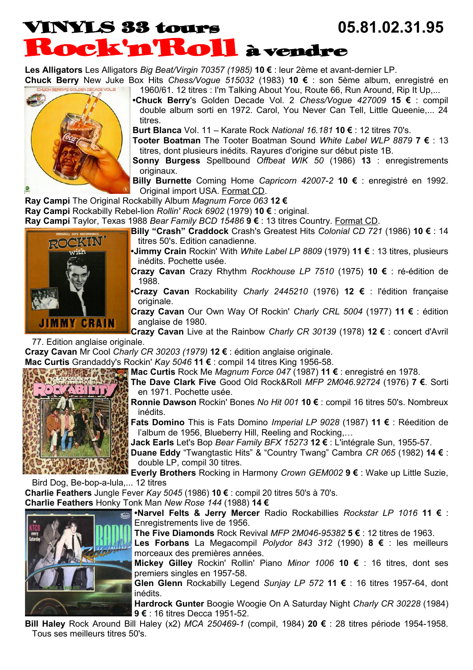## VINYLS 33 tours **05.81.02.31.95** Rock'n'Roll à vendre

**Les Alligators** Les Alligators *Big Beat/Virgin 70357 (1985)* **10 €** : leur 2ème et avant-dernier LP.

**Chuck Berry** New Juke Box Hits *Chess/Vogue 515032* (1983) **10 €** : son 5ème album, enregistré en 1960/61. 12 titres : I'm Talking About You, Route 66, Run Around, Rip It Up,...



**•Chuck Berry**'s Golden Decade Vol. 2 *Chess/Vogue 427009* **15 €** : compil double album sorti en 1972. Carol, You Never Can Tell, Little Queenie,... 24 titres.

**Burt Blanca** Vol. 11 – Karate Rock *National 16.181* **10 €** : 12 titres 70's.

**Tooter Boatman** The Tooter Boatman Sound *White Label WLP 8879* **7 €** : 13 titres, dont plusieurs inédits. Rayures d'origine sur début piste 1B.

**Sonny Burgess** Spellbound *Offbeat WIK 50* (1986) **13** : enregistrements originaux.

**Billy Burnette** Coming Home *Capricorn 42007-2* **10 €** : enregistré en 1992. Original import USA. Format CD.

**Ray Campi** The Original Rockabilly Album *Magnum Force 063* **12 €**

**Ray Campi** Rockabilly Rebel-lion *Rollin' Rock 6902* (1979) **10 €** : original.

**Ray Campi** Taylor, Texas 1988 *Bear Family BCD 15486* **9 €** : 13 titres Country. Format CD.



BIL

**Billy "Crash" Craddock** Crash's Greatest Hits *Colonial CD 721* (1986) **10 €** : 14 titres 50's. Edition canadienne.

**•Jimmy Crain** Rockin' With *White Label LP 8809* (1979) **11 €** : 13 titres, plusieurs inédits. Pochette usée.

**Crazy Cavan** Crazy Rhythm *Rockhouse LP 7510* (1975) **10 €** : ré-édition de 1988.

**•Crazy Cavan** Rockability *Charly 2445210* (1976) **12 €** : l'édition française originale.

**Crazy Cavan** Our Own Way Of Rockin' *Charly CRL 5004* (1977) **11 €** : édition anglaise de 1980.

**Crazy Cavan** Live at the Rainbow *Charly CR 30139* (1978) **12 €** : concert d'Avril 77. Edition anglaise originale.

**Crazy Cavan** Mr Cool *Charly CR 30203 (1979)* **12 €** : édition anglaise originale.

**Mac Curtis** Grandaddy's Rockin' *Kay 5046* **11 €** : compil 14 titres King 1956-58.

**Mac Curtis** Rock Me *Magnum Force 047* (1987) **11 €** : enregistré en 1978.

**The Dave Clark Five** Good Old Rock&Roll *MFP 2M046.92724* (1976) **7 €**. Sorti en 1971. Pochette usée.

**Ronnie Dawson** Rockin' Bones *No Hit 001* **10 €** : compil 16 titres 50's. Nombreux inédits.

**Fats Domino** This is Fats Domino *Imperial LP 9028* (1987) **11 €** : Réedition de l'album de 1956, Blueberry Hill, Reeling and Rocking,…

**Jack Earls** Let's Bop *Bear Family BFX 15273* **12 €** : L'intégrale Sun, 1955-57.

**Duane Eddy** "Twangtastic Hits" & "Country Twang" Cambra *CR 065* (1982) **14 €** : double LP, compil 30 titres.

**Everly Brothers** Rocking in Harmony *Crown GEM002* **9 €** : Wake up Little Suzie, Bird Dog, Be-bop-a-lula,... 12 titres

**Charlie Feathers** Jungle Fever *Kay 5045* (1986) **10 €** : compil 20 titres 50's à 70's.

**Charlie Feathers** Honky Tonk Man *New Rose 144* (1988) **14 €**

**•Narvel Felts & Jerry Mercer** Radio Rockabillies *Rockstar LP 1016* **11 €** : Enregistrements live de 1956.

**The Five Diamonds** Rock Revival *MFP 2M046-95382* **5 €** : 12 titres de 1963.

**Les Forbans** La Megacompil *Polydor 843 312* (1990) **8 €** : les meilleurs morceaux des premières années.

**Mickey Gilley** Rockin' Rollin' Piano *Minor 1006* **10 €** : 16 titres, dont ses premiers singles en 1957-58.

**Glen Glenn** Rockabilly Legend *Sunjay LP 572* **11 €** : 16 titres 1957-64, dont inédits.

**Hardrock Gunter** Boogie Woogie On A Saturday Night *Charly CR 30228* (1984) **9 €** : 16 titres Decca 1951-52.

**Bill Haley** Rock Around Bill Haley (x2) *MCA 250469-1* (compil, 1984) **20 €** : 28 titres période 1954-1958. Tous ses meilleurs titres 50's.

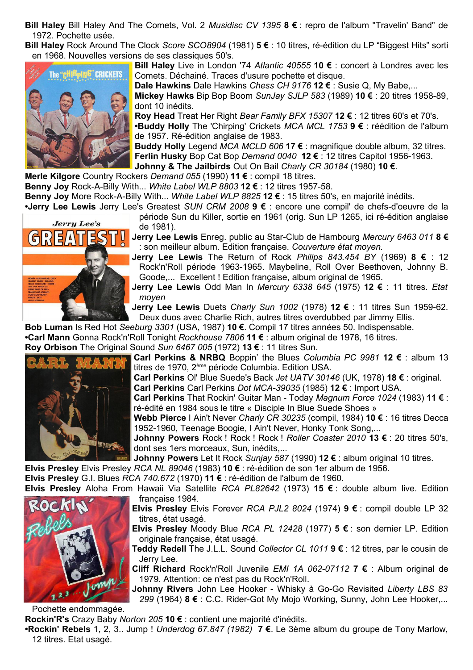**Bill Haley** Bill Haley And The Comets, Vol. 2 *Musidisc CV 1395* **8 €** : repro de l'album "Travelin' Band" de 1972. Pochette usée.

**Bill Haley** Rock Around The Clock *Score SCO8904* (1981) **5 €** : 10 titres, ré-édition du LP "Biggest Hits" sorti en 1968. Nouvelles versions de ses classiques 50's.



**Bill Haley** Live in London '74 *Atlantic 40555* **10 €** : concert à Londres avec les Comets. Déchainé. Traces d'usure pochette et disque.

**Dale Hawkins** Dale Hawkins *Chess CH 9176* **12 €** : Susie Q, My Babe,...

**Mickey Hawks** Bip Bop Boom *SunJay SJLP 583* (1989) **10 €** : 20 titres 1958-89, dont 10 inédits.

**Roy Head** Treat Her Right *Bear Family BFX 15307* **12 €** : 12 titres 60's et 70's. **•Buddy Holly** The 'Chirping' Crickets *MCA MCL 1753* **9 €** : réédition de l'album de 1957. Ré-édition anglaise de 1983.

**Buddy Holly** Legend *MCA MCLD 606* **17 €** : magnifique double album, 32 titres. **Ferlin Husky** Bop Cat Bop *Demand 0040* **12 €** : 12 titres Capitol 1956-1963.

**Johnny & The Jailbirds** Out On Bail *Charly CR 30184* (1980) **10 €**.

**Merle Kilgore** Country Rockers *Demand 055* (1990) **11 €** : compil 18 titres.

**Benny Joy** Rock-A-Billy With... *White Label WLP 8803* **12 €** : 12 titres 1957-58.

**Benny Joy** More Rock-A-Billy With... *White Label WLP 8825* **12 €** : 15 titres 50's, en majorité inédits.

**•Jerry Lee Lewis** Jerry Lee's Greatest *SUN CRM 2008* **9 €** : encore une compil' de chefs-d'oeuvre de la période Sun du Killer, sortie en 1961 (orig. Sun LP 1265, ici ré-édition anglaise **Jerry Lee's** de 1981).

**Jerry Lee Lewis** Enreg. public au Star-Club de Hambourg *Mercury 6463 011* **8 €** : son meilleur album. Edition française. *Couverture état moyen.*

**Jerry Lee Lewis** The Return of Rock *Philips 843.454 BY* (1969) **8 €** : 12 Rock'n'Roll période 1963-1965. Maybeline, Roll Over Beethoven, Johnny B. Goode,... Excellent ! Edition française, album original de 1965.

**Jerry Lee Lewis** Odd Man In *Mercury 6338 645* (1975) **12 €** : 11 titres. *Etat moyen*

**Jerry Lee Lewis** Duets *Charly Sun 1002* (1978) **12 €** : 11 titres Sun 1959-62. Deux duos avec Charlie Rich, autres titres overdubbed par Jimmy Ellis.

**Bob Luman** Is Red Hot *Seeburg 3301* (USA, 1987) **10 €**. Compil 17 titres années 50. Indispensable.

**•Carl Mann** Gonna Rock'n'Roll Tonight *Rockhouse 7806* **11 €** : album original de 1978, 16 titres.

**Roy Orbison** The Original Sound *Sun 6467 005* (1972) **13 €** : 11 titres Sun.



**Carl Perkins & NRBQ** Boppin' the Blues *Columbia PC 9981* **12 €** : album 13 titres de 1970, 2ème période Columbia. Edition USA.

**Carl Perkins** Ol' Blue Suede's Back *Jet UATV 30146* (UK, 1978) **18 €** : original.

**Carl Perkins** Carl Perkins *Dot MCA-39035* (1985) **12 €** : Import USA.

**Carl Perkins** That Rockin' Guitar Man - Today *Magnum Force 1024* (1983) **11 €** : ré-édité en 1984 sous le titre « Disciple In Blue Suede Shoes »

**Webb Pierce** I Ain't Never *Charly CR 30235* (compil, 1984) **10 €** : 16 titres Decca 1952-1960, Teenage Boogie, I Ain't Never, Honky Tonk Song,...

**Johnny Powers** Rock ! Rock ! Rock ! *Roller Coaster 2010* **13 €** : 20 titres 50's, dont ses 1ers morceaux, Sun, inédits,...

**Johnny Powers** Let It Rock *Sunjay 587* (1990) **12 €** : album original 10 titres.

**Elvis Presley** Elvis Presley *RCA NL 89046* (1983) **10 €** : ré-édition de son 1er album de 1956.

**Elvis Presley** G.I. Blues *RCA 740.672* (1970) **11 €** : ré-édition de l'album de 1960.

**Elvis Presley** Aloha From Hawaii Via Satellite *RCA PL82642* (1973) **15 €** : double album live. Edition française 1984.

> **Elvis Presley** Elvis Forever *RCA PJL2 8024* (1974) **9 €** : compil double LP 32 titres, état usagé.

> **Elvis Presley** Moody Blue *RCA PL 12428* (1977) **5 €** : son dernier LP. Edition originale française, état usagé.

> **Teddy Redell** The J.L.L. Sound *Collector CL 1011* **9 €** : 12 titres, par le cousin de Jerry Lee.

> **Cliff Richard** Rock'n'Roll Juvenile *EMI 1A 062-07112* **7 €** : Album original de 1979. Attention: ce n'est pas du Rock'n'Roll.

> **Johnny Rivers** John Lee Hooker - Whisky à Go-Go Revisited *Liberty LBS 83 299* (1964) **8 €** : C.C. Rider-Got My Mojo Working, Sunny, John Lee Hooker,...

Pochette endommagée.

Jump

**Rockin'R's** Crazy Baby *Norton 205* **10 €** : contient une majorité d'inédits.

**•Rockin' Rebels** 1, 2, 3.. Jump ! *Underdog 67.847 (1982)* **7 €**. Le 3ème album du groupe de Tony Marlow, 12 titres. Etat usagé.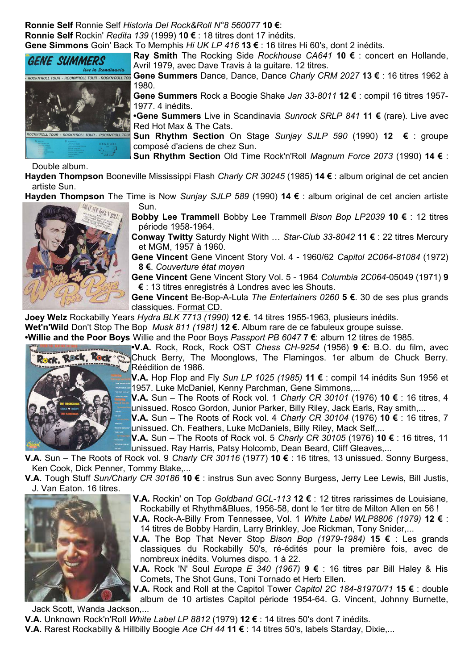**Ronnie Self** Ronnie Self *Historia Del Rock&Roll N°8 560077* **10 €**: **Ronnie Self** Rockin' *Redita 139* (1999) **10 €** : 18 titres dont 17 inédits. **Gene Simmons** Goin' Back To Memphis *Hi UK LP 416* **13 €** : 16 titres Hi 60's, dont 2 inédits.



**Ray Smith** The Rocking Side *Rockhouse CA641* **10 €** : concert en Hollande, Avril 1979, avec Dave Travis à la guitare. 12 titres.

**Gene Summers** Dance, Dance, Dance *Charly CRM 2027* **13 €** : 16 titres 1962 à 1980.

**Gene Summers** Rock a Boogie Shake *Jan 33-8011* **12 €** : compil 16 titres 1957- 1977. 4 inédits.

**•Gene Summers** Live in Scandinavia *Sunrock SRLP 841* **11 €** (rare). Live avec Red Hot Max & The Cats.

**Sun Rhythm Section** On Stage *Sunjay SJLP 590* (1990) **12 €** : groupe composé d'aciens de chez Sun.

**Sun Rhythm Section** Old Time Rock'n'Roll *Magnum Force 2073* (1990) **14 €** :

Double album.

**Hayden Thompson** Booneville Mississippi Flash *Charly CR 30245* (1985) **14 €** : album original de cet ancien artiste Sun.

**Hayden Thompson** The Time is Now *Sunjay SJLP 589* (1990) **14 €** : album original de cet ancien artiste<br>Sun. – Frammoll *Rison Ron LP2039* **10 €** : 12 titres



Sun. **Bobby Lee Trammell** Bobby Lee Trammell *Bison Bop LP2039* **10 €** : 12 titres période 1958-1964.

**Conway Twitty** Saturdy Night With … *Star-Club 33-8042* **11 €** : 22 titres Mercury et MGM, 1957 à 1960.

**Gene Vincent** Gene Vincent Story Vol. 4 - 1960/62 *Capitol 2C064-81084* (1972) **8 €**. *Couverture état moyen*

**Gene Vincent** Gene Vincent Story Vol. 5 - 1964 *Columbia 2C064-*05049 (1971) **9 €** : 13 titres enregistrés à Londres avec les Shouts.

**Gene Vincent** Be-Bop-A-Lula *The Entertainers 0260* **5 €**. 30 de ses plus grands classiques. Format CD.

**Joey Welz** Rockabilly Years *Hydra BLK 7713 (1990)* **12 €**. 14 titres 1955-1963, plusieurs inédits.

**Wet'n'Wild** Don't Stop The Bop *Musk 811 (1981)* **12 €**. Album rare de ce fabuleux groupe suisse.

**•Willie and the Poor Boys** Willie and the Poor Boys *Passport PB 6047* **7 €**: album 12 titres de 1985.



**•V.A.** Rock, Rock, Rock OST *Chess CH-9254* (1956) **9 €**: B.O. du film, avec Chuck Berry, The Moonglows, The Flamingos. 1er album de Chuck Berry. Réédition de 1986.

**V.A.** Hop Flop and Fly *Sun LP 1025 (1985)* **11 €** : compil 14 inédits Sun 1956 et 1957. Luke McDaniel, Kenny Parchman, Gene Simmons,...

**V.A.** Sun – The Roots of Rock vol. 1 *Charly CR 30101* (1976) **10 €** : 16 titres, 4 unissued. Rosco Gordon, Junior Parker, Billy Riley, Jack Earls, Ray smith,...

**V.A.** Sun – The Roots of Rock vol. 4 *Charly CR 30104* (1976) **10 €** : 16 titres, 7 unissued. Ch. Feathers, Luke McDaniels, Billy Riley, Mack Self,...

**V.A.** Sun – The Roots of Rock vol. 5 *Charly CR 30105* (1976) **10 €** : 16 titres, 11 unissued. Ray Harris, Patsy Holcomb, Dean Beard, Cliff Gleaves,...

**V.A.** Sun – The Roots of Rock vol. 9 *Charly CR 30116* (1977) **10 €** : 16 titres, 13 unissued. Sonny Burgess, Ken Cook, Dick Penner, Tommy Blake,...

**V.A.** Tough Stuff *Sun/Charly CR 30186* **10 €** : instrus Sun avec Sonny Burgess, Jerry Lee Lewis, Bill Justis, J. Van Eaton. 16 titres.



**V.A.** Rockin' on Top *Goldband GCL-113* **12 €** : 12 titres rarissimes de Louisiane, Rockabilly et Rhythm&Blues, 1956-58, dont le 1er titre de Milton Allen en 56 !

**V.A.** Rock-A-Billy From Tennessee, Vol. 1 *White Label WLP8806 (1979)* **12 €** : 14 titres de Bobby Hardin, Larry Brinkley, Joe Rickman, Tony Snider,...

**V.A.** The Bop That Never Stop *Bison Bop (1979-1984)* **15 €** : Les grands classiques du Rockabilly 50's, ré-édités pour la première fois, avec de nombreux inédits. Volumes dispo. 1 à 22.

**V.A.** Rock 'N' Soul *Europa E 340 (1967)* **9 €** : 16 titres par Bill Haley & His Comets, The Shot Guns, Toni Tornado et Herb Ellen.

**V.A.** Rock and Roll at the Capitol Tower *Capitol 2C 184-81970/71* **15 €** : double album de 10 artistes Capitol période 1954-64. G. Vincent, Johnny Burnette,

Jack Scott, Wanda Jackson,...

**V.A.** Unknown Rock'n'Roll *White Label LP 8812* (1979) **12 €** : 14 titres 50's dont 7 inédits.

**V.A.** Rarest Rockabilly & Hillbilly Boogie *Ace CH 44* **11 €** : 14 titres 50's, labels Starday, Dixie,...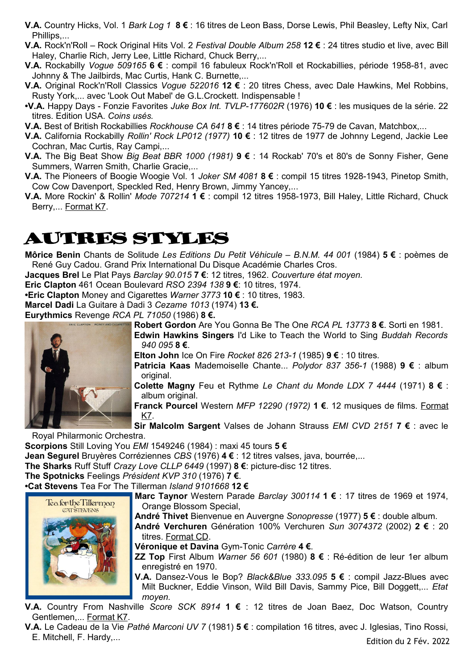- **V.A.** Country Hicks, Vol. 1 *Bark Log 1* **8 €** : 16 titres de Leon Bass, Dorse Lewis, Phil Beasley, Lefty Nix, Carl Phillips,...
- **V.A.** Rock'n'Roll Rock Original Hits Vol. 2 *Festival Double Album 258* **12 €** : 24 titres studio et live, avec Bill Haley, Charlie Rich, Jerry Lee, Little Richard, Chuck Berry,...
- **V.A.** Rockabilly *Vogue 509165* **6 €** : compil 16 fabuleux Rock'n'Roll et Rockabillies, période 1958-81, avec Johnny & The Jailbirds, Mac Curtis, Hank C. Burnette,...
- **V.A.** Original Rock'n'Roll Classics *Vogue 522016* **12 €** : 20 titres Chess, avec Dale Hawkins, Mel Robbins, Rusty York,... avec 'Look Out Mabel' de G.L.Crockett. Indispensable !
- **•V.A.** Happy Days Fonzie Favorites *Juke Box Int. TVLP-177602R* (1976) **10 €** : les musiques de la série. 22 titres. Edition USA. *Coins usés.*
- **V.A.** Best of British Rockabillies *Rockhouse CA 641* **8 €** : 14 titres période 75-79 de Cavan, Matchbox,...
- **V.A.** California Rockabilly *Rollin' Rock LP012 (1977)* **10 €** : 12 titres de 1977 de Johnny Legend, Jackie Lee Cochran, Mac Curtis, Ray Campi,...
- **V.A.** The Big Beat Show *Big Beat BBR 1000 (1981)* **9 €** : 14 Rockab' 70's et 80's de Sonny Fisher, Gene Summers, Warren Smith, Charlie Gracie,...
- **V.A.** The Pioneers of Boogie Woogie Vol. 1 *Joker SM 4081* **8 €** : compil 15 titres 1928-1943, Pinetop Smith, Cow Cow Davenport, Speckled Red, Henry Brown, Jimmy Yancey,...
- **V.A.** More Rockin' & Rollin' *Mode 707214* **1 €** : compil 12 titres 1958-1973, Bill Haley, Little Richard, Chuck Berry,... Format K7.

## AUTRES STYLES

**Môrice Benin** Chants de Solitude *Les Editions Du Petit Véhicule – B.N.M. 44 001* (1984) **5 €** : poèmes de René Guy Cadou. Grand Prix International Du Disque Académie Charles Cros.

**Jacques Brel** Le Plat Pays *Barclay 90.015* **7 €**: 12 titres, 1962. *Couverture état moyen.*

**Eric Clapton** 461 Ocean Boulevard *RSO 2394 138* **9 €**: 10 titres, 1974.

**•Eric Clapton** Money and Cigarettes *Warner 3773* **10 €** : 10 titres, 1983.

**Marcel Dadi** La Guitare à Dadi 3 *Cezame 1013* (1974) **13 €.**

**Eurythmics** Revenge *RCA PL 71050* (1986) **8 €.**

**Robert Gordon** Are You Gonna Be The One *RCA PL 13773* **8 €**. Sorti en 1981.



**Edwin Hawkins Singers** I'd Like to Teach the World to Sing *Buddah Records 940 095* **8 €**.

**Elton John** Ice On Fire *Rocket 826 213-1* (1985) **9 €** : 10 titres.

**Patricia Kaas** Mademoiselle Chante... *Polydor 837 356-1* (1988) **9 €** : album original.

**Colette Magny** Feu et Rythme *Le Chant du Monde LDX 7 4444* (1971) **8 €** : album original.

**Franck Pourcel** Western *MFP 12290 (1972)* **1 €**. 12 musiques de films. Format K7.

**Sir Malcolm Sargent** Valses de Johann Strauss *EMI CVD 2151* **7 €** : avec le

Royal Philarmonic Orchestra.

**Scorpions** Still Loving You *EMI* 1549246 (1984) : maxi 45 tours **5 €**

**Jean Segurel** Bruyères Corréziennes *CBS* (1976) **4 €** : 12 titres valses, java, bourrée,...

**The Sharks** Ruff Stuff *Crazy Love CLLP 6449* (1997) **8 €**: picture-disc 12 titres.

**The Spotnicks** Feelings *Président KVP 310* (1976) **7 €**.

**•Cat Stevens** Tea For The Tillerman *Island 9101668* **12 €**

**Marc Taynor** Western Parade *Barclay 300114* **1 €** : 17 titres de 1969 et 1974, Orange Blossom Special,

**André Thivet** Bienvenue en Auvergne *Sonopresse* (1977) **5 €** : double album.



**Véronique et Davina** Gym-Tonic *Carrère* **4 €**.

**ZZ Top** First Album *Warner 56 601* (1980) **8 €** : Ré-édition de leur 1er album enregistré en 1970.

**V.A.** Dansez-Vous le Bop? *Black&Blue 333.095* **5 €** : compil Jazz-Blues avec Milt Buckner, Eddie Vinson, Wild Bill Davis, Sammy Pice, Bill Doggett,... *Etat moyen.*

**V.A.** Country From Nashville *Score SCK 8914* **1 €** : 12 titres de Joan Baez, Doc Watson, Country Gentlemen,... Format K7.

**V.A.** Le Cadeau de la Vie *Pathé Marconi UV 7* (1981) **5 €** : compilation 16 titres, avec J. Iglesias, Tino Rossi, E. Mitchell, F. Hardy,...